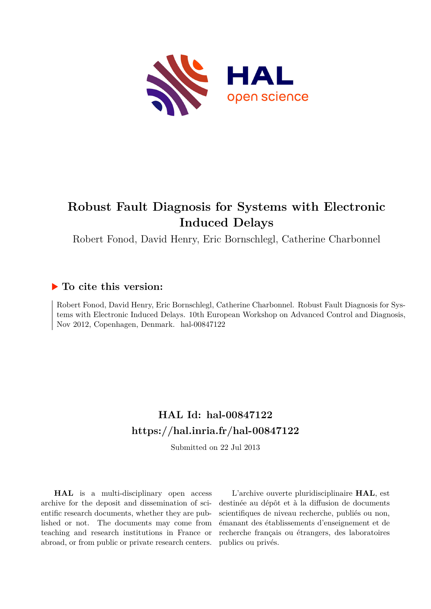

# **Robust Fault Diagnosis for Systems with Electronic Induced Delays**

Robert Fonod, David Henry, Eric Bornschlegl, Catherine Charbonnel

# **To cite this version:**

Robert Fonod, David Henry, Eric Bornschlegl, Catherine Charbonnel. Robust Fault Diagnosis for Systems with Electronic Induced Delays. 10th European Workshop on Advanced Control and Diagnosis, Nov 2012, Copenhagen, Denmark. hal-00847122

# **HAL Id: hal-00847122 <https://hal.inria.fr/hal-00847122>**

Submitted on 22 Jul 2013

**HAL** is a multi-disciplinary open access archive for the deposit and dissemination of scientific research documents, whether they are published or not. The documents may come from teaching and research institutions in France or abroad, or from public or private research centers.

L'archive ouverte pluridisciplinaire **HAL**, est destinée au dépôt et à la diffusion de documents scientifiques de niveau recherche, publiés ou non, émanant des établissements d'enseignement et de recherche français ou étrangers, des laboratoires publics ou privés.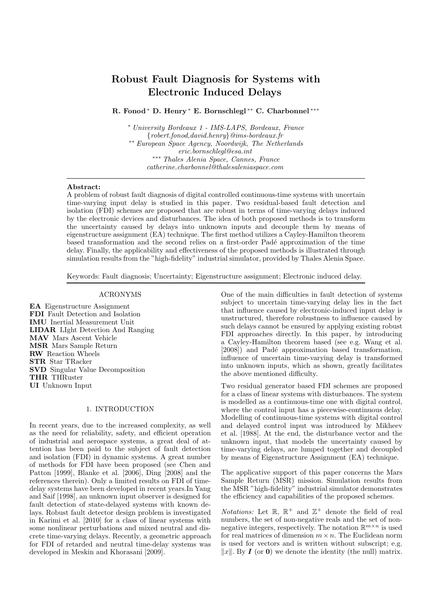# Robust Fault Diagnosis for Systems with Electronic Induced Delays

R. Fonod<sup>∗</sup> D. Henry <sup>∗</sup> E. Bornschlegl ∗∗ C. Charbonnel ∗∗∗

<sup>∗</sup> *University Bordeaux 1 - IMS-LAPS, Bordeaux, France* {*robert.fonod,david.henry*}*@ims-bordeaux.fr* ∗∗ *European Space Agency, Noordwijk, The Netherlands eric.bornschlegl@esa.int* ∗∗∗ *Thales Alenia Space, Cannes, France catherine.charbonnel@thalesaleniaspace.com*

## Abstract:

A problem of robust fault diagnosis of digital controlled continuous-time systems with uncertain time-varying input delay is studied in this paper. Two residual-based fault detection and isolation (FDI) schemes are proposed that are robust in terms of time-varying delays induced by the electronic devices and disturbances. The idea of both proposed methods is to transform the uncertainty caused by delays into unknown inputs and decouple them by means of eigenstructure assignment (EA) technique. The first method utilizes a Cayley-Hamilton theorem based transformation and the second relies on a first-order Pad´e approximation of the time delay. Finally, the applicability and effectiveness of the proposed methods is illustrated through simulation results from the "high-fidelity" industrial simulator, provided by Thales Alenia Space.

Keywords: Fault diagnosis; Uncertainty; Eigenstructure assignment; Electronic induced delay.

#### ACRONYMS

EA Eigenstructure Assignment FDI Fault Detection and Isolation IMU Inertial Measurement Unit LIDAR LIght Detection And Ranging MAV Mars Ascent Vehicle MSR Mars Sample Return RW Reaction Wheels STR Star TRacker SVD Singular Value Decomposition THR THRuster UI Unknown Input

# 1. INTRODUCTION

In recent years, due to the increased complexity, as well as the need for reliability, safety, and efficient operation of industrial and aerospace systems, a great deal of attention has been paid to the subject of fault detection and isolation (FDI) in dynamic systems. A great number of methods for FDI have been proposed (see Chen and Patton [1999], Blanke et al. [2006], Ding [2008] and the references therein). Only a limited results on FDI of timedelay systems have been developed in recent years.In Yang and Saif [1998], an unknown input observer is designed for fault detection of state-delayed systems with known delays. Robust fault detector design problem is investigated in Karimi et al. [2010] for a class of linear systems with some nonlinear perturbations and mixed neutral and discrete time-varying delays. Recently, a geometric approach for FDI of retarded and neutral time-delay systems was developed in Meskin and Khorasani [2009].

One of the main difficulties in fault detection of systems subject to uncertain time-varying delay lies in the fact that influence caused by electronic-induced input delay is unstructured, therefore robustness to influence caused by such delays cannot be ensured by applying existing robust FDI approaches directly. In this paper, by introducing a Cayley-Hamilton theorem based (see e.g. Wang et al. [2008]) and Padé approximation based transformation, influence of uncertain time-varying delay is transformed into unknown inputs, which as shown, greatly facilitates the above mentioned difficulty.

Two residual generator based FDI schemes are proposed for a class of linear systems with disturbances. The system is modelled as a continuous-time one with digital control, where the control input has a piecewise-continuous delay. Modelling of continuous-time systems with digital control and delayed control input was introduced by Mikheev et al. [1988]. At the end, the disturbance vector and the unknown input, that models the uncertainty caused by time-varying delays, are lumped together and decoupled by means of Eigenstructure Assignment (EA) technique.

The applicative support of this paper concerns the Mars Sample Return (MSR) mission. Simulation results from the MSR "high-fidelity" industrial simulator demonstrates the efficiency and capabilities of the proposed schemes.

*Notations:* Let  $\mathbb{R}$ ,  $\mathbb{R}^+$  and  $\mathbb{Z}^+$  denote the field of real numbers, the set of non-negative reals and the set of nonnegative integers, respectively. The notation  $\mathbb{R}^{m \times n}$  is used for real matrices of dimension  $m \times n$ . The Euclidean norm is used for vectors and is written without subscript; e.g.  $||x||$ . By **I** (or **0**) we denote the identity (the null) matrix.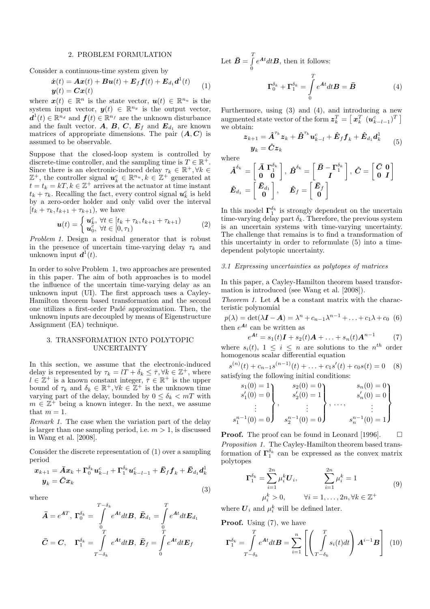#### 2. PROBLEM FORMULATION

Consider a continuous-time system given by

$$
\dot{\boldsymbol{x}}(t) = \boldsymbol{A}\boldsymbol{x}(t) + \boldsymbol{B}\boldsymbol{u}(t) + \boldsymbol{E}_f \boldsymbol{f}(t) + \boldsymbol{E}_{d_1} \boldsymbol{d}^1(t) \n\boldsymbol{y}(t) = \boldsymbol{C}\boldsymbol{x}(t)
$$
\n(1)

where  $\mathbf{x}(t) \in \mathbb{R}^n$  is the state vector,  $\mathbf{u}(t) \in \mathbb{R}^{n_u}$  is the system input vector,  $y(t) \in \mathbb{R}^{n_y}$  is the output vector,  $\mathbf{d}^{1}(t) \in \mathbb{R}^{n_d}$  and  $\mathbf{f}(t) \in \mathbb{R}^{n_f}$  are the unknown disturbance and the fault vector. A, B, C,  $E_f$  and  $E_{d_1}$  are known matrices of appropriate dimensions. The pair  $(A, C)$  is assumed to be observable.

Suppose that the closed-loop system is controlled by discrete-time controller, and the sampling time is  $T \in \mathbb{R}^+$ . Since there is an electronic-induced delay  $\tau_k \in \mathbb{R}^+, \forall k \in$  $\mathbb{Z}^+$ , the controller signal  $u_k^c \in \mathbb{R}^{n_u}, k \in \mathbb{Z}^+$  generated at  $t = t_k = kT, k \in \mathbb{Z}^+$  arrives at the actuator at time instant  $t_k + \tau_k$ . Recalling the fact, every control signal  $u_k^c$  is held by a zero-order holder and only valid over the interval  $[t_k + \tau_k, t_{k+1} + \tau_{k+1}),$  we have

$$
\boldsymbol{u}(t) = \begin{cases} \boldsymbol{u}_k^c, \ \forall t \in [t_k + \tau_k, t_{k+1} + \tau_{k+1}) \\ \boldsymbol{u}_0^c, \ \forall t \in [0, \tau_1) \end{cases} \tag{2}
$$

*Problem 1.* Design a residual generator that is robust in the presence of uncertain time-varying delay  $\tau_k$  and unknown input  $\boldsymbol{d}^{1}(t)$ .

In order to solve Problem 1, two approaches are presented in this paper. The aim of both approaches is to model the influence of the uncertain time-varying delay as an unknown input (UI). The first approach uses a Cayley-Hamilton theorem based transformation and the second one utilizes a first-order Padé approximation. Then, the unknown inputs are decoupled by means of Eigenstructure Assignment (EA) technique.

#### 3. TRANSFORMATION INTO POLYTOPIC UNCERTAINTY

In this section, we assume that the electronic-induced delay is represented by  $\tau_k = lT + \delta_k \leq \overline{\tau}, \forall k \in \mathbb{Z}^+,$  where  $l \in \mathbb{Z}^+$  is a known constant integer,  $\bar{\tau} \in \mathbb{R}^+$  is the upper bound of  $\tau_k$  and  $\delta_k \in \mathbb{R}^+, \forall k \in \mathbb{Z}^+$  is the unknown time varying part of the delay, bounded by  $0 \leq \delta_k < mT$  with  $m \in \mathbb{Z}^+$  being a known integer. In the next, we assume that  $m = 1$ .

*Remark 1.* The case when the variation part of the delay is larger than one sampling period, i.e.  $m > 1$ , is discussed in Wang et al. [2008].

Consider the discrete representation of (1) over a sampling period

$$
\begin{aligned} \bm{x}_{k+1} &= \bar{\bm{A}}\bm{x}_k + \bm{\Gamma}_0^{\delta_k}\bm{u}_{k-l}^c + \bm{\Gamma}_1^{\delta_k}\bm{u}_{k-l-1}^c + \bar{\bm{E}}_f\bm{f}_k + \bar{\bm{E}}_{d_1}\bm{d}_k^1\\ \bm{y}_k &= \bar{\bm{C}}\bm{x}_k \end{aligned} \tag{3}
$$

where

$$
\bar{A} = e^{AT}, \ \Gamma_0^{\delta_k} = \int\limits_{0}^{T-\delta_k} e^{At} dt \boldsymbol{B}, \ \bar{E}_{d_1} = \int\limits_{0}^{T} e^{At} dt \boldsymbol{E}_{d_1}
$$
\n
$$
\bar{C} = \boldsymbol{C}, \quad \Gamma_1^{\delta_k} = \int\limits_{T-\delta_k}^{T} e^{At} dt \boldsymbol{B}, \ \bar{E}_f = \int\limits_{0}^{T} e^{At} dt \boldsymbol{E}_f
$$

Let  $\bar{\mathbf{B}} = \int^T e^{\mathbf{A}t} dt \mathbf{B}$ , then it follows: 0

$$
\Gamma_0^{\delta_k} + \Gamma_1^{\delta_k} = \int_0^T e^{At} dt \mathbf{B} = \mathbf{\bar{B}} \tag{4}
$$

Furthermore, using (3) and (4), and introducing a new augmented state vector of the form  $\pmb{z}_k^T = \left[\ \pmb{x}_k^T \ (\pmb{u}_{k-l-1}^c)^T\ \right]$ we obtain:

$$
\begin{aligned} \n\boldsymbol{z}_{k+1} &= \hat{\boldsymbol{A}}^{\tau_k} \boldsymbol{z}_k + \hat{\boldsymbol{B}}^{\tau_k} \boldsymbol{u}_{k-l}^c + \hat{\boldsymbol{E}}_f \boldsymbol{f}_k + \hat{\boldsymbol{E}}_{d_1} \boldsymbol{d}_k^1 \\ \n\boldsymbol{y}_k &= \hat{\boldsymbol{C}} \boldsymbol{z}_k \n\end{aligned} \tag{5}
$$

where

$$
\begin{aligned} \hat{\bm{A}}^{\delta_k} &= \left[\begin{array}{cc} \bar{\bm{A}} \; \bm{\Gamma}_1^{\delta_k} \\ \bm{0} & \bm{0} \end{array}\right], \; \hat{\bm{B}}^{\delta_k} = \left[\begin{array}{cc} \bar{\bm{B}} - \bm{\Gamma}_1^{\delta_k} \\ \bm{I} \end{array}\right], \; \hat{\bm{C}} = \left[\begin{array}{cc} \bar{\bm{C}} \; \bm{0} \\ \bm{0} \; \bm{I} \end{array}\right] \\ \hat{\bm{E}}_{d_1} &= \left[\begin{array}{c} \bar{\bm{E}}_{d_1} \\ \bm{0} \end{array}\right], \quad \hat{\bm{E}}_{f} = \left[\begin{array}{c} \bar{\bm{E}}_{f} \\ \bm{0} \end{array}\right] \end{aligned}
$$

In this model  $\Gamma_1^{\delta_k}$  is strongly dependent on the uncertain time-varying delay part  $\delta_k$ . Therefore, the previous system is an uncertain systems with time-varying uncertainty. The challenge that remains is to find a transformation of this uncertainty in order to reformulate (5) into a timedependent polytopic uncertainty.

## *3.1 Expressing uncertainties as polytopes of matrices*

In this paper, a Cayley-Hamilton theorem based transformation is introduced (see Wang et al. [2008]).

*Theorem 1.* Let **A** be a constant matrix with the characteristic polynomial

 $p(\lambda) = \det(\lambda I - A) = \lambda^{n} + c_{n-1}\lambda^{n-1} + ... + c_1\lambda + c_0$  (6) then  $e^{At}$  can be written as

$$
e^{At} = s_1(t)\mathbf{I} + s_2(t)\mathbf{A} + \ldots + s_n(t)\mathbf{A}^{n-1}
$$
 (7)

where  $s_i(t)$ ,  $1 \leq i \leq n$  are solutions to the  $n^{th}$  order homogenous scalar differential equation

$$
s^{(n)}(t) + c_{n-1}s^{(n-1)}(t) + \dots + c_1s'(t) + c_0s(t) = 0
$$
 (8)  
satisfying the following initial conditions:

$$
s_1(0) = 1s'_1(0) = 0\vdotss_1^{n-1}(0) = 0
$$

$$
s'_2(0) = 1s'_2(0) = 1\vdotss_1^{n-1}(0) = 0
$$

$$
s_2^{n-1}(0) = 0
$$

$$
s_2^{n-1}(0) = 0
$$

$$
s_n^{n-1}(0) = 1
$$

**Proof.** The proof can be found in Leonard [1996].  $\Box$ *Proposition 1.* The Cayley-Hamilton theorem based transformation of  $\Gamma_1^{\delta_k}$  can be expressed as the convex matrix polytopes

$$
\Gamma_1^{\delta_k} = \sum_{i=1}^{2n} \mu_i^k U_i, \qquad \sum_{i=1}^{2n} \mu_i^k = 1
$$
  

$$
\mu_i^k > 0, \qquad \forall i = 1, \dots, 2n, \forall k \in \mathbb{Z}^+
$$
  

$$
\tag{9}
$$

where  $\mathbf{U}_i$  and  $\mu_i^k$  will be defined later.

**Proof.** Using  $(7)$ , we have

$$
\Gamma_1^{\delta_k} = \int\limits_{T-\delta_k}^T e^{\mathbf{A}t} dt \mathbf{B} = \sum_{i=1}^n \left[ \left( \int\limits_{T-\delta_k}^T s_i(t) dt \right) \mathbf{A}^{i-1} \mathbf{B} \right] (10)
$$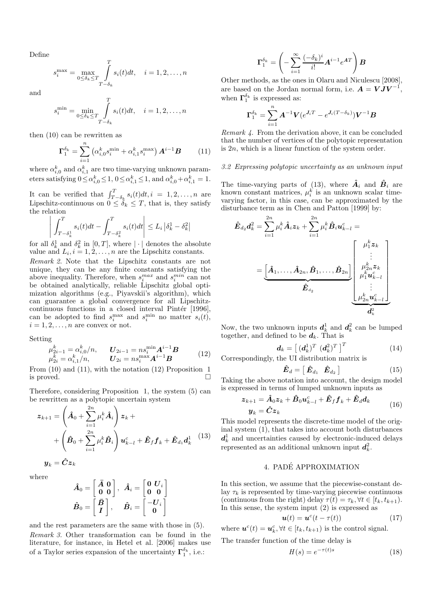Define

$$
s_i^{\max} = \max_{0 \le \delta_k \le T} \int_{T-\delta_k}^{T} s_i(t)dt, \quad i = 1, 2, \dots, n
$$

and

$$
s_i^{\min} = \min_{0 \le \delta_k \le T} \int_{T-\delta_k}^{T} s_i(t)dt, \quad i = 1, 2, \dots, n
$$

then (10) can be rewritten as

$$
\Gamma_1^{\delta_k} = \sum_{i=1}^n \left( \alpha_{i,0}^k s_i^{\min} + \alpha_{i,1}^k s_i^{\max} \right) A^{i-1} B \tag{11}
$$

where  $\alpha_{i,0}^k$  and  $\alpha_{i,1}^k$  are two time-varying unknown parameters satisfying  $0 \le \alpha_{i,0}^k \le 1$ ,  $0 \le \alpha_{i,1}^k \le 1$ , and  $\alpha_{i,0}^k + \alpha_{i,1}^k = 1$ .

It can be verified that  $\int_{T-\delta_k}^T s_i(t)dt, i = 1, 2, \ldots, n$  are Lipschitz-continuous on  $0 \leq \delta_k \leq T$ , that is, they satisfy the relation

$$
\left| \int_{T-\delta_k^1}^T s_i(t)dt - \int_{T-\delta_k^2}^T s_i(t)dt \right| \le L_i |\delta_k^1 - \delta_k^2|
$$

for all  $\delta_k^1$  and  $\delta_k^2$  in  $[0, T]$ , where  $|\cdot|$  denotes the absolute value and  $L_i$ ,  $i = 1, 2, ..., n$  are the Lipschitz constants. *Remark 2.* Note that the Lipschitz constants are not unique, they can be any finite constants satisfying the above inequality. Therefore, when  $s_i^{max}$  and  $s_i^{min}$  can not be obtained analytically, reliable Lipschitz global optimization algorithms (e.g., Piyavskii's algorithm), which can guarantee a global convergence for all Lipschitzcontinuous functions in a closed interval Pintér [1996], can be adopted to find  $s_i^{\text{max}}$  and  $s_i^{\text{min}}$  no matter  $s_i(t)$ ,  $i = 1, 2, \ldots, n$  are convex or not.

Setting

$$
\mu_{2i-1}^k = \alpha_{i,0}^k / n, \qquad U_{2i-1} = n s_i^{\min} \mathbf{A}^{i-1} \mathbf{B} \n\mu_{2i}^k = \alpha_{i,1}^k / n, \qquad U_{2i} = n s_i^{\max} \mathbf{A}^{i-1} \mathbf{B}
$$
\n(12)

From (10) and (11), with the notation (12) Proposition 1 is proved.

Therefore, considering Proposition 1, the system (5) can be rewritten as a polytopic uncertain system

$$
z_{k+1} = \left(\hat{A}_0 + \sum_{i=1}^{2n} \mu_i^k \hat{A}_i\right) z_k +
$$
  
+ 
$$
\left(\hat{B}_0 + \sum_{i=1}^{2n} \mu_i^k \hat{B}_i\right) u_{k-l}^c + \hat{E}_f f_k + \hat{E}_{d_1} d_k^{1} \quad (13)
$$
  

$$
y_k = \hat{C} z_k
$$

where

$$
\hat{\bm{A}}_0 = \begin{bmatrix} \bar{\bm{A}} & \bm{0} \\ \bm{0} & \bm{0} \end{bmatrix}, \enspace \hat{\bm{A}}_i = \begin{bmatrix} \bm{0} & \bm{U}_i \\ \bm{0} & \bm{0} \end{bmatrix} \\ \hat{\bm{B}}_0 = \begin{bmatrix} \bar{\bm{B}} \\ \bm{I} \end{bmatrix}, \enspace \hat{\bm{B}}_i = \begin{bmatrix} -\bm{U}_i \\ \bm{0} \end{bmatrix}
$$

and the rest parameters are the same with those in (5). *Remark 3.* Other transformation can be found in the literature, for instance, in Hetel et al. [2006] makes use of a Taylor series expansion of the uncertainty  $\Gamma_1^{\delta_k}$ , i.e.:

$$
\boldsymbol{\Gamma}_1^{\delta_k} = \left(-\sum_{i=1}^\infty \frac{(-\delta_k)^i}{i!} \boldsymbol{A}^{i-1} e^{\boldsymbol{A}T}\right) \boldsymbol{B}
$$

Other methods, as the ones in Olaru and Niculescu [2008], are based on the Jordan normal form, i.e.  $A = VJV^{-1}$ , when  $\Gamma_1^{\delta_k}$  is expressed as:

$$
\boldsymbol{\Gamma}_1^{\delta_k} = \sum_{i=1}^n \boldsymbol{A}^{-1} \boldsymbol{V} (e^{\boldsymbol{J}_i \boldsymbol{T}} - e^{\boldsymbol{J}_i (\boldsymbol{T} - \delta_k)}) \boldsymbol{V}^{-1} \boldsymbol{B}
$$

*Remark 4.* From the derivation above, it can be concluded that the number of vertices of the polytopic representation is  $2n$ , which is a linear function of the system order.

#### *3.2 Expressing polytopic uncertainty as an unknown input*

The time-varying parts of  $(13)$ , where  $\ddot{A}_i$  and  $\ddot{B}_i$  are known constant matrices,  $\mu_i^k$  is an unknown scalar timevarying factor, in this case, can be approximated by the disturbance term as in Chen and Patton [1999] by:

$$
\hat{E}_{d_2}d_k^2 = \sum_{i=1}^{2n} \mu_i^k \hat{A}_i z_k + \sum_{i=1}^{2n} \mu_i^k \hat{B}_i u_{k-l}^c = \frac{\begin{bmatrix} \mu_1^k z_k \\ \vdots \\ \mu_2^k z_k \end{bmatrix}}{\begin{bmatrix} \mu_1^k z_k \\ \vdots \\ \mu_2^k z_k \\ \mu_1^k u_{k-l}^c \end{bmatrix}}
$$
\n
$$
= \underbrace{\begin{bmatrix} \hat{A}_1, \dots, \hat{A}_{2n}, \hat{B}_1, \dots, \hat{B}_{2n} \end{bmatrix}}_{\hat{E}_{d_2}} \underbrace{\begin{bmatrix} \mu_2^k z_k \\ \mu_1^k u_{k-l}^c \\ \vdots \\ \mu_2^k u_{k-l}^c \end{bmatrix}}_{\hat{d}_k^2}
$$

Now, the two unknown inputs  $d_k^1$  and  $d_k^2$  can be lumped together, and defined to be  $d_k$ . That is

$$
\boldsymbol{d}_{k} = \left[ \ (\boldsymbol{d}_{k}^{1})^{T} \ (\boldsymbol{d}_{k}^{2})^{T} \ \right]^{T} \tag{14}
$$

Correspondingly, the UI distribution matrix is

$$
\hat{\boldsymbol{E}}_d = \begin{bmatrix} \hat{\boldsymbol{E}}_{d_1} & \hat{\boldsymbol{E}}_{d_2} \end{bmatrix} \tag{15}
$$

Taking the above notation into account, the design model is expressed in terms of lumped unknown inputs as

$$
\begin{aligned} \n\boldsymbol{z}_{k+1} &= \hat{\boldsymbol{A}}_0 \boldsymbol{z}_k + \hat{\boldsymbol{B}}_0 \boldsymbol{u}_{k-l}^c + \hat{\boldsymbol{E}}_f \boldsymbol{f}_k + \hat{\boldsymbol{E}}_d \boldsymbol{d}_k\\ \n\boldsymbol{y}_k &= \hat{\boldsymbol{C}} \boldsymbol{z}_k \n\end{aligned} \tag{16}
$$

This model represents the discrete-time model of the original system (1), that takes into account both disturbances  $d_k^1$  and uncertainties caused by electronic-induced delays represented as an additional unknown input  $d_k^2$ .

# 4. PADE APPROXIMATION ´

In this section, we assume that the piecewise-constant delay  $\tau_k$  is represented by time-varying piecewise continuous (continuous from the right) delay  $\tau(t) = \tau_k, \forall t \in [t_k, t_{k+1}).$ In this sense, the system input (2) is expressed as

$$
\boldsymbol{u}(t) = \boldsymbol{u}^c(t - \tau(t)) \tag{17}
$$

where  $\mathbf{u}^c(t) = \mathbf{u}_k^c, \forall t \in [t_k, t_{k+1})$  is the control signal.

The transfer function of the time delay is

$$
H(s) = e^{-\tau(t)s} \tag{18}
$$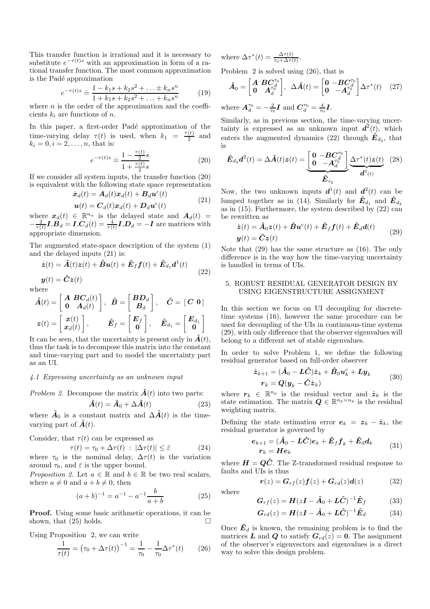This transfer function is irrational and it is necessary to substitute  $e^{-\tau(t)s}$  with an approximation in form of a rational transfer function. The most common approximation is the Padé approximation

$$
e^{-\tau(t)s} \doteq \frac{1 - k_1s + k_2s^2 + \dots \pm k_ns^n}{1 + k_1s + k_2s^2 + \dots + k_ns^n} \tag{19}
$$

where  $n$  is the order of the approximation and the coefficients  $k_i$  are functions of n.

In this paper, a first-order Padé approximation of the time-varying delay  $\tau(t)$  is used, when  $k_1 = \frac{\tau(t)}{2}$  $rac{(t)}{2}$  and  $k_i = 0, i = 2, ..., n$ , that is:

$$
e^{-\tau(t)s} \doteq \frac{1 - \frac{\tau(t)}{2}s}{1 + \frac{\tau(t)}{2}s} \tag{20}
$$

If we consider all system inputs, the transfer function (20) is equivalent with the following state space representation

$$
\dot{\boldsymbol{x}}_d(t) = \boldsymbol{A}_d(t)\boldsymbol{x}_d(t) + \boldsymbol{B}_d \boldsymbol{u}^c(t)
$$
  

$$
\boldsymbol{u}(t) = \boldsymbol{C}_d(t)\boldsymbol{x}_d(t) + \boldsymbol{D}_d \boldsymbol{u}^c(t)
$$
 (21)

where  $x_d(t) \in \mathbb{R}^{n_u}$  is the delayed state and  $A_d(t) =$  $-\frac{2}{\tau(t)}I$ , $\boldsymbol{B}_d = I$ , $\boldsymbol{C}_d(t) = \frac{4}{\tau(t)}I$ , $\boldsymbol{D}_d = -I$  are matrices with appropriate dimension.

The augmented state-space description of the system (1) and the delayed inputs (21) is:

$$
\dot{\boldsymbol{z}}(t) = \hat{\boldsymbol{A}}(t)\boldsymbol{z}(t) + \hat{\boldsymbol{B}}\boldsymbol{u}(t) + \hat{\boldsymbol{E}}_f\boldsymbol{f}(t) + \hat{\boldsymbol{E}}_{d_1}\boldsymbol{d}^1(t)
$$
\n(22)

 $y(t) = \hat{C}z(t)$ where

$$
\hat{A}(t) = \begin{bmatrix} A & BC_d(t) \\ 0 & A_d(t) \end{bmatrix}, \quad \hat{B} = \begin{bmatrix} BD_d \\ B_d \end{bmatrix}, \quad \hat{C} = \begin{bmatrix} C & 0 \end{bmatrix}
$$

$$
z(t) = \begin{bmatrix} x(t) \\ x_d(t) \end{bmatrix}, \qquad \hat{E}_f = \begin{bmatrix} E_f \\ 0 \end{bmatrix}, \quad \hat{E}_{d_1} = \begin{bmatrix} E_{d_1} \\ 0 \end{bmatrix}
$$

It can be seen, that the uncertainty is present only in  $\hat{A}(t)$ , thus the task is to decompose this matrix into the constant and time-varying part and to model the uncertainty part as an UI.

#### *4.1 Expressing uncertainty as an unknown input*

Problem 2. Decompose the matrix 
$$
\hat{A}(t)
$$
 into two parts:

$$
\hat{A}(t) = \hat{A}_0 + \Delta \hat{A}(t) \tag{23}
$$

where  $\hat{A}_0$  is a constant matrix and  $\Delta \hat{A}(t)$  is the timevarying part of  $\hat{A}(t)$ .

Consider, that  $\tau(t)$  can be expressed as

$$
\tau(t) = \tau_0 + \Delta \tau(t) \; : \; |\Delta \tau(t)| \le \bar{\varepsilon} \tag{24}
$$

where  $\tau_0$  is the nominal delay,  $\Delta \tau(t)$  is the variation around  $\tau_0$ , and  $\bar{\varepsilon}$  is the upper bound.

*Proposition 2.* Let  $a \in \mathbb{R}$  and  $b \in \mathbb{R}$  be two real scalars, where  $a \neq 0$  and  $a + b \neq 0$ , then

$$
(a+b)^{-1} = a^{-1} - a^{-1} \frac{b}{a+b}
$$
 (25)

Proof. Using some basic arithmetic operations, it can be shown, that (25) holds.

Using Proposition 2, we can write

$$
\frac{1}{\tau(t)} = (\tau_0 + \Delta \tau(t))^{-1} = \frac{1}{\tau_0} - \frac{1}{\tau_0} \Delta \tau^*(t) \qquad (26)
$$

where  $\Delta \tau^*(t) = \frac{\Delta \tau(t)}{\tau_0 + \Delta \tau(t)}$ .

Problem 2 is solved using (26), that is

$$
\hat{\boldsymbol{A}}_0 = \begin{bmatrix} \boldsymbol{A} & \boldsymbol{B} \boldsymbol{C}_{d}^{\tau_0} \\ \boldsymbol{0} & \boldsymbol{A}_{d}^{\tau_0} \end{bmatrix}, \ \ \Delta \hat{\boldsymbol{A}}(t) = \begin{bmatrix} \boldsymbol{0} & -\boldsymbol{B} \boldsymbol{C}_{d}^{\tau_0} \\ \boldsymbol{0} & -\boldsymbol{A}_{d}^{\tau_0} \end{bmatrix} \Delta \boldsymbol{\tau}^*(t) \quad (27)
$$

where  $A_d^{\tau_0} = -\frac{2}{\tau_0} I$  and  $C_d^{\tau_0} = \frac{4}{\tau_0} I$ .

Similarly, as in previous section, the time-varying uncertainty is expressed as an unknown input  $d^2(t)$ , which enters the augmented dynamics (22) through  $\hat{E}_{d_2}$ , that is

$$
\hat{\boldsymbol{E}}_{d_2}\boldsymbol{d}^2(t) = \Delta \hat{\boldsymbol{A}}(t)\boldsymbol{z}(t) = \underbrace{\begin{bmatrix} \mathbf{0} & -\boldsymbol{B}\boldsymbol{C}_{d_0}^{\tau_0} \\ \mathbf{0} & -\boldsymbol{A}_d^{\tau_0} \end{bmatrix}}_{\hat{\boldsymbol{E}}_{d_2}} \underbrace{\Delta \tau^*(t)\boldsymbol{z}(t)}_{\boldsymbol{d}^2(t)} \tag{28}
$$

Now, the two unknown inputs  $\boldsymbol{d}^{1}(t)$  and  $\boldsymbol{d}^{2}(t)$  can be lumped together as in (14). Similarly for  $\hat{E}_{d_1}$  and  $\hat{E}_{d_2}$ as in (15). Furthermore, the system described by (22) can be rewritten as

$$
\dot{\mathbf{z}}(t) = \hat{\mathbf{A}}_0 \mathbf{z}(t) + \hat{\mathbf{B}} \mathbf{u}^c(t) + \hat{\mathbf{E}}_f \mathbf{f}(t) + \hat{\mathbf{E}}_d \mathbf{d}(t) \n\mathbf{y}(t) = \hat{\mathbf{C}} \mathbf{z}(t)
$$
\n(29)

Note that (29) has the same structure as (16). The only difference is in the way how the time-varying uncertainty is handled in terms of UIs.

#### 5. ROBUST RESIDUAL GENERATOR DESIGN BY USING EIGENSTRUCTURE ASSIGNMENT

In this section we focus on UI decoupling for discretetime systems (16), however the same procedure can be used for decoupling of the UIs in continuous-time systems (29), with only difference that the observer eigenvalues will belong to a different set of stable eigenvalues.

In order to solve Problem 1, we define the following residual generator based on full-order observer

$$
\hat{\mathbf{z}}_{k+1} = (\hat{\mathbf{A}}_0 - \mathbf{L}\hat{\mathbf{C}})\hat{\mathbf{z}}_k + \hat{\mathbf{B}}_0 \mathbf{u}_k^c + \mathbf{L}\mathbf{y}_k \n\mathbf{r}_k = \mathbf{Q}(\mathbf{y}_k - \hat{\mathbf{C}}\hat{\mathbf{z}}_k)
$$
\n(30)

where  $r_k \in \mathbb{R}^{n_p}$  is the residual vector and  $\hat{z}_k$  is the state estimation. The matrix  $\mathbf{Q} \in \mathbb{R}^{n_p \times n_y}$  is the residual weighting matrix.

Defining the state estimation error  $e_k = z_k - \hat{z}_k$ , the residual generator is governed by

$$
\begin{aligned} \bm{e}_{k+1} &= (\hat{\bm{A}}_{0} - \bm{L}\hat{\bm{C}})\bm{e}_{k} + \hat{\bm{E}}_{f}\bm{f}_{k} + \hat{\bm{E}}_{d}\bm{d}_{k} \\ \bm{r}_{k} &= \bm{H}\bm{e}_{k} \end{aligned} \tag{31}
$$

where  $H = Q\hat{C}$ . The Z-transformed residual response to faults and UIs is thus

where

$$
\boldsymbol{G}_{rf}(z) = \boldsymbol{H}(z\boldsymbol{I} - \hat{\boldsymbol{A}}_0 + \boldsymbol{L}\hat{\boldsymbol{C}})^{-1}\hat{\boldsymbol{E}}_f \qquad (33)
$$

 $r(z) = G_{rf}(z) f(z) + G_{rd}(z) d(z)$  (32)

$$
G_{rd}(z) = H(zI - \hat{A}_0 + L\hat{C})^{-1}\hat{E}_d
$$
 (34)

Once  $\hat{E}_d$  is known, the remaining problem is to find the matrices **L** and **Q** to satisfy  $G_{rd}(z) = 0$ . The assignment of the observer's eigenvectors and eigenvalues is a direct way to solve this design problem.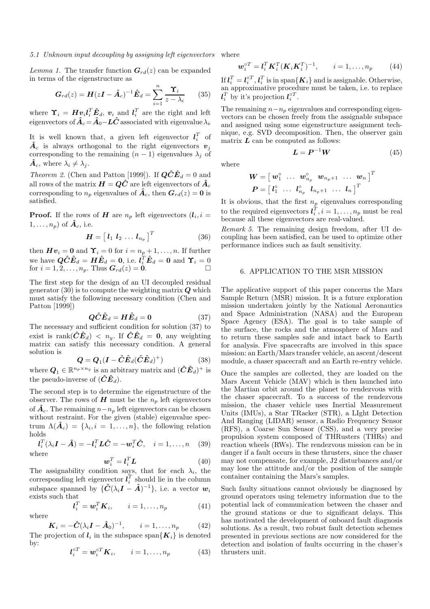#### *5.1 Unknown input decoupling by assigning left eigenvectors*

*Lemma 1.* The transfer function  $G_{rd}(z)$  can be expanded in terms of the eigenstructure as

$$
G_{rd}(z) = H(zI - \hat{A}_c)^{-1}\hat{E}_d = \sum_{i=1}^n \frac{\Upsilon_i}{z - \lambda_i} \qquad (35)
$$

where  $\Upsilon_i = H v_i l_i^T \hat{E}_d$ ,  $v_i$  and  $l_i^T$  are the right and left eigenvectors of  $\hat{A}_c \!=\! \hat{A}_0 \!-\! L \hat{C}$  associated with eigenvalue  $\lambda_i$ 

It is well known that, a given left eigenvector  $l_i^T$  of  $\hat{A}_c$  is always orthogonal to the right eigenvectors  $v_j$ corresponding to the remaining  $(n-1)$  eigenvalues  $\lambda_i$  of  $\hat{A}_c$ , where  $\lambda_i \neq \lambda_j$ .

*Theorem 2.* (Chen and Patton [1999]). If  $\mathbf{Q}\hat{\mathbf{C}}\hat{\mathbf{E}}_d = 0$  and all rows of the matrix  $\boldsymbol{H} = \boldsymbol{Q}\boldsymbol{\hat{C}}$  are left eigenvectors of  $\boldsymbol{\hat{A}}_c$ corresponding to  $n_p$  eigenvalues of  $\hat{A}_c$ , then  $G_{rd}(z) = 0$  is satisfied.

**Proof.** If the rows of H are  $n_p$  left eigenvectors  $(l_i, i =$  $1, \ldots, n_p$  of  $\hat{A}_c$ , i.e.

$$
\boldsymbol{H} = \begin{bmatrix} \boldsymbol{l}_1 & \boldsymbol{l}_2 & \dots & \boldsymbol{l}_{n_p} \end{bmatrix}^T \tag{36}
$$

then  $Hv_i = 0$  and  $\Upsilon_i = 0$  for  $i = n_p + 1, \ldots, n$ . If further we have  $\hat{\bm{QCE}}_d = \bm{H}\bm{\hat{E}}_d = \bm{0}$ , i.e.  $\bm{l}_i^T \bm{\hat{E}}_d = \bm{0}$  and  $\bm{\Upsilon}_i = 0$ for  $i = 1, 2, \ldots, n_p$ . Thus  $G_{rd}(z) = 0$ .

The first step for the design of an UI decoupled residual generator  $(30)$  is to compute the weighting matrix  $\boldsymbol{Q}$  which must satisfy the following necessary condition (Chen and Patton [1999])

$$
\hat{Q}\hat{C}\hat{E}_d = H\hat{E}_d = 0 \tag{37}
$$

The necessary and sufficient condition for solution (37) to exist is rank $(\hat{C}\hat{E}_d) < n_y$ . If  $\hat{C}\hat{E}_d = 0$ , any weighting matrix can satisfy this necessary condition. A general solution is

$$
\mathbf{Q} = \mathbf{Q}_1(\mathbf{I} - \hat{\mathbf{C}} \hat{\mathbf{E}}_d (\hat{\mathbf{C}} \hat{\mathbf{E}}_d)^+ )
$$
 (38)

where  $Q_1 \in \mathbb{R}^{n_p \times n_y}$  is an arbitrary matrix and  $(\hat{C}\hat{E}_d)^+$  is the pseudo-inverse of  $(\hat{C}\hat{E}_d)$ .

The second step is to determine the eigenstructure of the observer. The rows of  $H$  must be the  $n_p$  left eigenvectors of  $\hat{A}_c$ . The remaining  $n-n_p$  left eigenvectors can be chosen without restraint. For the given (stable) eigenvalue spectrum  $\Lambda(\hat{A}_c) = {\lambda_i, i = 1, ..., n},$  the following relation holds

$$
l_i^T(\lambda_i \mathbf{I} - \hat{\mathbf{A}}) = -l_i^T \mathbf{L} \hat{\mathbf{C}} = -\mathbf{w}_i^T \hat{\mathbf{C}}, \quad i = 1, \dots, n \quad (39)
$$
  
where

$$
\boldsymbol{w}_i^T = \boldsymbol{l}_i^T \boldsymbol{L} \tag{40}
$$

The assignability condition says, that for each  $\lambda_i$ , the corresponding left eigenvector  $l_i^T$  should lie in the column subspace spanned by  $\{\hat{C}(\lambda_i I - \hat{A})^{-1}\},\$ i.e. a vector  $w_i$ exists such that

$$
\boldsymbol{l}_i^T = \boldsymbol{w}_i^T \boldsymbol{K}_i, \qquad i = 1, \dots, n_p \tag{41}
$$

$$
\boldsymbol{K}_i = -\hat{\boldsymbol{C}}(\lambda_i \boldsymbol{I} - \hat{\boldsymbol{A}}_0)^{-1}, \qquad i = 1, \dots, n_p \tag{42}
$$

The projection of  $l_i$  in the subspace span $\{K_i\}$  is denoted by:

where

$$
\boldsymbol{l}_i^{\circ T} = \boldsymbol{w}_i^{\circ T} \boldsymbol{K}_i, \qquad i = 1, \dots, n_p \tag{43}
$$

where

$$
\boldsymbol{w}_i^{\circ T} = \boldsymbol{l}_i^T \boldsymbol{K}_i^T (\boldsymbol{K}_i \boldsymbol{K}_i^T)^{-1}, \qquad i = 1, \dots, n_p \tag{44}
$$

If  $l_i^T = l_i^{\circ T}$ ,  $l_i^T$  is in span $\{K_i\}$  and is assignable. Otherwise, an approximative procedure must be taken, i.e. to replace  $\boldsymbol{l}_i^T$  by it's projection  $\boldsymbol{l}_i^{\circ T}$ .

The remaining  $n-n_p$  eigenvalues and corresponding eigenvectors can be chosen freely from the assignable subspace and assigned using some eigenstructure assignment technique, e.g. SVD decomposition. Then, the observer gain matrix  $L$  can be computed as follows:

 $L = P^{-1}W$  (45)

where

$$
\boldsymbol{W}=\left[\begin{array}{cccc} \boldsymbol{w}_1^{\circ} & \ldots & \boldsymbol{w}_{n_p}^{\circ} & \boldsymbol{w}_{n_p+1} & \ldots & \boldsymbol{w}_{n}\end{array}\right]^T \\ \boldsymbol{P}=\left[\begin{array}{cccc} l_1^{\circ} & \ldots & l_{n_p}^{\circ} & l_{n_p+1} & \ldots & l_{n}\end{array}\right]^T
$$

It is obvious, that the first  $n_p$  eigenvalues corresponding to the required eigenvectors  $\boldsymbol{l}_i^T, i = 1, \ldots, n_p$  must be real because all these eigenvectors are real-valued.

*Remark 5.* The remaining design freedom, after UI decoupling has been satisfied, can be used to optimize other performance indices such as fault sensitivity.

# 6. APPLICATION TO THE MSR MISSION

The applicative support of this paper concerns the Mars Sample Return (MSR) mission. It is a future exploration mission undertaken jointly by the National Aeronautics and Space Administration (NASA) and the European Space Agency (ESA). The goal is to take sample of the surface, the rocks and the atmosphere of Mars and to return these samples safe and intact back to Earth for analysis. Five spacecrafts are involved in this space mission: an Earth/Mars transfer vehicle, an ascent/descent module, a chaser spacecraft and an Earth re-entry vehicle.

Once the samples are collected, they are loaded on the Mars Ascent Vehicle (MAV) which is then launched into the Martian orbit around the planet to rendezvous with the chaser spacecraft. To a success of the rendezvous mission, the chaser vehicle uses Inertial Measurement Units (IMUs), a Star TRacker (STR), a LIght Detection And Ranging (LIDAR) sensor, a Radio Frequency Sensor (RFS), a Coarse Sun Sensor (CSS), and a very precise propulsion system composed of THRusters (THRs) and reaction wheels (RWs). The rendezvous mission can be in danger if a fault occurs in these thrusters, since the chaser may not compensate, for example, J2 disturbances and/or may lose the attitude and/or the position of the sample container containing the Mars's samples.

Such faulty situations cannot obviously be diagnosed by ground operators using telemetry information due to the potential lack of communication between the chaser and the ground stations or due to significant delays. This has motivated the development of onboard fault diagnosis solutions. As a result, two robust fault detection schemes presented in previous sections are now considered for the detection and isolation of faults occurring in the chaser's thrusters unit.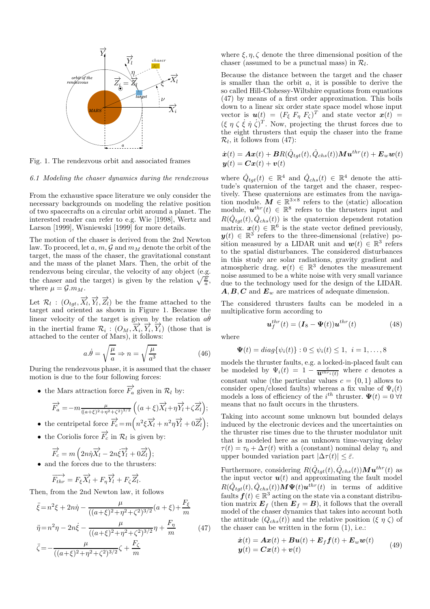

Fig. 1. The rendezvous orbit and associated frames

# *6.1 Modeling the chaser dynamics during the rendezvous*

From the exhaustive space literature we only consider the necessary backgrounds on modeling the relative position of two spacecrafts on a circular orbit around a planet. The interested reader can refer to e.g. Wie [1998], Wertz and Larson [1999], Wisniewski [1999] for more details.

The motion of the chaser is derived from the 2nd Newton law. To proceed, let a, m,  $\mathcal G$  and  $m_M$  denote the orbit of the target, the mass of the chaser, the gravitational constant and the mass of the planet Mars. Then, the orbit of the rendezvous being circular, the velocity of any object (e.g. the chaser and the target) is given by the relation  $\sqrt{\frac{\mu}{a}}$ , where  $\mu = \mathcal{G}.m_M$ .

Let  $\mathcal{R}_l$ :  $(O_{tgt}, \overrightarrow{X}_l, \overrightarrow{Y}_l, \overrightarrow{Z}_l)$  be the frame attached to the target and oriented as shown in Figure 1. Because the linear velocity of the target is given by the relation  $a\dot{\theta}$ in the inertial frame  $\mathcal{R}_i$ :  $(O_M, \overrightarrow{X}_i, \overrightarrow{Y}_i, \overrightarrow{Y}_i)$  (those that is attached to the center of Mars), it follows:

$$
a.\dot{\theta} = \sqrt{\frac{\mu}{a}} \Rightarrow n = \sqrt{\frac{\mu}{a^3}}\tag{46}
$$

During the rendezvous phase, it is assumed that the chaser motion is due to the four following forces:

• the Mars attraction force  $\overrightarrow{F}_a$  given in  $\mathcal{R}_l$  by:

$$
\overrightarrow{F}_a = -m \frac{\mu}{((a+\xi)^2 + \eta^2 + \zeta^2)^{3/2}} \left( (a+\xi) \overrightarrow{X}_l + \eta \overrightarrow{Y}_l + \zeta \overrightarrow{Z}_l \right);
$$

- the centripetal force  $\overrightarrow{F}_e = m \left( n^2 \xi \overrightarrow{X}_l + n^2 \eta \overrightarrow{Y}_l + 0 \overrightarrow{Z}_l \right);$
- the Coriolis force  $\overrightarrow{F}_c$  in  $\mathcal{R}_l$  is given by:

$$
\overrightarrow{F_c} = m\left(2n\dot{\eta}\overrightarrow{X_l} - 2n\dot{\xi}\overrightarrow{Y_l} + 0\overrightarrow{Z_l}\right);
$$

• and the forces due to the thrusters:

$$
\overrightarrow{F_{thr}} = F_{\xi} \overrightarrow{X_l} + F_{\eta} \overrightarrow{Y_l} + F_{\zeta} \overrightarrow{Z_l}.
$$

Then, from the 2nd Newton law, it follows

$$
\ddot{\xi} = n^2 \xi + 2n \dot{\eta} - \frac{\mu}{((a+\xi)^2 + \eta^2 + \zeta^2)^{3/2}} (a+\xi) + \frac{F_{\xi}}{m}
$$
  

$$
\ddot{\eta} = n^2 \eta - 2n \dot{\xi} - \frac{\mu}{((a+\xi)^2 + \eta^2 + \zeta^2)^{3/2}} \eta + \frac{F_{\eta}}{m}
$$
(47)  

$$
\ddot{\zeta} = -\frac{\mu}{((a+\xi)^2 + \eta^2 + \zeta^2)^{3/2}} \zeta + \frac{F_{\zeta}}{m}
$$

where  $\xi, \eta, \zeta$  denote the three dimensional position of the chaser (assumed to be a punctual mass) in  $\mathcal{R}_l$ .

Because the distance between the target and the chaser is smaller than the orbit  $a$ , it is possible to derive the so called Hill-Clohessy-Wiltshire equations from equations (47) by means of a first order approximation. This boils down to a linear six order state space model whose input vector is  $u(t) = (F_{\xi} F_{\eta} F_{\zeta})^T$  and state vector  $x(t) =$  $(\xi \eta \zeta \dot{\xi} \dot{\eta} \dot{\zeta})^T$ . Now, projecting the thrust forces due to the eight thrusters that equip the chaser into the frame  $\mathcal{R}_l$ , it follows from (47):

$$
\begin{aligned} \dot{\boldsymbol{x}}(t) &= \boldsymbol{A}\boldsymbol{x}(t) + \boldsymbol{B}R(\hat{Q}_{tgt}(t),\hat{Q}_{chs}(t))\boldsymbol{M}\boldsymbol{u}^{thr}(t) + \boldsymbol{E}_{w}\boldsymbol{w}(t) \\ \boldsymbol{y}(t) &= \boldsymbol{C}\boldsymbol{x}(t) + \boldsymbol{v}(t) \end{aligned}
$$

where  $\hat{Q}_{tgt}(t) \in \mathbb{R}^4$  and  $\hat{Q}_{chs}(t) \in \mathbb{R}^4$  denote the attitude's quaternion of the target and the chaser, respectively. These quaternions are estimates from the navigation module.  $\mathbf{M} \in \mathbb{R}^{3 \times 8}$  refers to the (static) allocation module,  $\mathbf{u}^{thr}(t) \in \mathbb{R}^8$  refers to the thrusters input and  $R(\hat{Q}_{tgt}(t), \hat{Q}_{chs}(t))$  is the quaternion dependent rotation matrix.  $\mathbf{x}(t) \in \mathbb{R}^6$  is the state vector defined previously,  $y(t) \in \mathbb{R}^3$  refers to the three-dimensional (relative) position measured by a LIDAR unit and  $w(t) \in \mathbb{R}^3$  refers to the spatial disturbances. The considered disturbances in this study are solar radiations, gravity gradient and atmospheric drag.  $\mathbf{v}(t) \in \mathbb{R}^3$  denotes the measurement noise assumed to be a white noise with very small variance due to the technology used for the design of the LIDAR.  $A, B, C$  and  $E_w$  are matrices of adequate dimension.

The considered thrusters faults can be modeled in a multiplicative form according to

$$
\boldsymbol{u}_f^{thr}(t) = (\boldsymbol{I}_8 - \boldsymbol{\Psi}(t)) \boldsymbol{u}^{thr}(t) \tag{48}
$$

where

$$
\mathbf{\Psi}(t) = diag\{\psi_i(t)\} : 0 \le \psi_i(t) \le 1, \ \ i = 1, \dots, 8
$$

models the thruster faults, e.g. a locked-in-placed fault can be modeled by  $\Psi_i(t) = 1 - \frac{c}{\mathbf{u}^{thr_i}(t)}$  where c denotes a constant value (the particular values  $c = \{0, 1\}$  allows to consider open/closed faults) whereas a fix value of  $\Psi_i(t)$ models a loss of efficiency of the  $i^{th}$  thruster.  $\Psi(t) = 0$   $\forall t$ means that no fault occurs in the thrusters.

Taking into account some unknown but bounded delays induced by the electronic devices and the uncertainties on the thruster rise times due to the thruster modulator unit that is modeled here as an unknown time-varying delay  $\tau(t) = \tau_0 + \Delta \tau(t)$  with a (constant) nominal delay  $\tau_0$  and upper bounded variation part  $|\Delta \tau(t)| \leq \bar{\varepsilon}$ .

Furthermore, considering  $R(\hat{Q}_{tgt}(t), \hat{Q}_{chs}(t))\mathbf{M} \boldsymbol{u}^{thr}(t)$  as the input vector  $u(t)$  and approximating the fault model  $R(\hat{Q}_{tgt}(t), \hat{Q}_{chs}(t)) \mathbf{M} \Psi(t) \mathbf{u}^{thr}(t)$  in terms of additive faults  $f(t) \in \mathbb{R}^3$  acting on the state via a constant distribution matrix  $\mathbf{E}_f$  (then  $\mathbf{E}_f = \mathbf{B}$ ), it follows that the overall model of the chaser dynamics that takes into account both the attitude  $(Q_{chs}(t))$  and the relative position  $(\xi \eta \zeta)$  of the chaser can be written in the form (1), i.e.:

$$
\begin{aligned} \dot{\boldsymbol{x}}(t) &= \boldsymbol{A}\boldsymbol{x}(t) + \boldsymbol{B}\boldsymbol{u}(t) + \boldsymbol{E}_f \boldsymbol{f}(t) + \boldsymbol{E}_w \boldsymbol{w}(t) \\ \boldsymbol{y}(t) &= \boldsymbol{C}\boldsymbol{x}(t) + \boldsymbol{v}(t) \end{aligned} \tag{49}
$$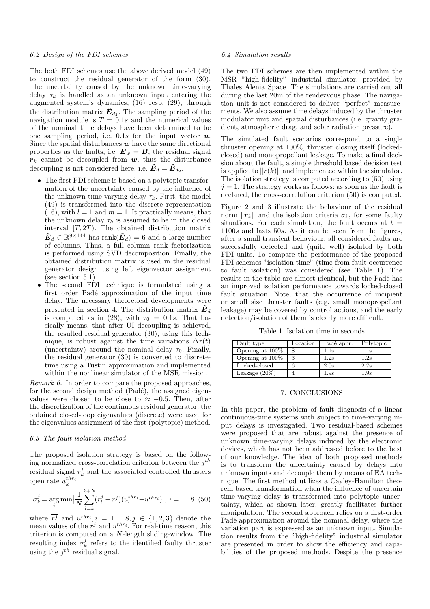# *6.2 Design of the FDI schemes*

The both FDI schemes use the above derived model (49) to construct the residual generator of the form (30). The uncertainty caused by the unknown time-varying delay  $\tau_k$  is handled as an unknown input entering the augmented system's dynamics, (16) resp. (29), through the distribution matrix  $\hat{E}_{d_2}$ . The sampling period of the navigation module is  $T = 0.1s$  and the numerical values of the nominal time delays have been determined to be one sampling period, i.e.  $0.1s$  for the input vector  $u$ . Since the spatial disturbances  $w$  have the same directional properties as the faults, i.e.  $E_w = B$ , the residual signal  $r_k$  cannot be decoupled from  $w$ , thus the disturbance decoupling is not considered here, i.e.  $\hat{E}_d = \hat{E}_{d_2}$ .

- The first FDI scheme is based on a polytopic transformation of the uncertainty caused by the influence of the unknown time-varying delay  $\tau_k$ . First, the model (49) is transformed into the discrete representation (16), with  $l = 1$  and  $m = 1$ . It practically means, that the unknown delay  $\tau_k$  is assumed to be in the closed interval  $[T, 2T]$ . The obtained distribution matrix  $\hat{\mathbf{E}}_d \in \mathbb{R}^{9 \times 144}$  has rank $(\hat{\mathbf{E}}_d) = 6$  and a large number of columns. Thus, a full column rank factorization is performed using SVD decomposition. Finally, the obtained distribution matrix is used in the residual generator design using left eigenvector assignment (see section 5.1).
- The second FDI technique is formulated using a first order Padé approximation of the input time delay. The necessary theoretical developments were presented in section 4. The distribution matrix  $\hat{E}_d$ is computed as in (28), with  $\tau_0 = 0.1s$ . That basically means, that after UI decoupling is achieved, the resulted residual generator (30), using this technique, is robust against the time variations  $\Delta \tau(t)$ (uncertainty) around the nominal delay  $\tau_0$ . Finally, the residual generator (30) is converted to discretetime using a Tustin approximation and implemented within the nonlinear simulator of the MSR mission.

*Remark 6.* In order to compare the proposed approaches, for the second design method  $(Pad\acute{e})$ , the assigned eigenvalues were chosen to be close to  $\approx -0.5$ . Then, after the discretization of the continuous residual generator, the obtained closed-loop eigenvalues (discrete) were used for the eigenvalues assignment of the first (polytopic) method.

# *6.3 The fault isolation method*

The proposed isolation strategy is based on the following normalized cross-correlation criterion between the  $j<sup>th</sup>$ residual signal  $r_k^j$  and the associated controlled thrusters open rate  $u_k^{thr_i}$ 

$$
\sigma_k^j = \underset{i}{\arg\min} \Big| \frac{1}{N} \sum_{l=k}^{k+N} (r_l^j - \overline{r^j}) (u_l^{thr_i} - \overline{u^{thr_i}}) \Big|, i = 1...8 \tag{50}
$$

where  $r^j$  and  $u^{thr}$ ,  $i = 1...8$ ,  $j \in \{1,2,3\}$  denote the mean values of the  $r^j$  and  $u^{thr_i}$ . For real-time reason, this criterion is computed on a N-length sliding-window. The resulting index  $\sigma_k^j$  refers to the identified faulty thruster using the  $j<sup>th</sup>$  residual signal.

### *6.4 Simulation results*

The two FDI schemes are then implemented within the MSR "high-fidelity" industrial simulator, provided by Thales Alenia Space. The simulations are carried out all during the last 20m of the rendezvous phase. The navigation unit is not considered to deliver "perfect" measurements. We also assume time delays induced by the thruster modulator unit and spatial disturbances (i.e. gravity gradient, atmospheric drag, and solar radiation pressure).

The simulated fault scenarios correspond to a single thruster opening at 100%, thruster closing itself (lockedclosed) and monopropellant leakage. To make a final decision about the fault, a simple threshold based decision test is applied to  $||r(k)||$  and implemented within the simulator. The isolation strategy is computed according to (50) using  $j = 1$ . The strategy works as follows: as soon as the fault is declared, the cross-correlation criterion (50) is computed.

Figure 2 and 3 illustrate the behaviour of the residual norm  $\|\mathbf{r}_k\|$  and the isolation criteria  $\sigma_k$ , for some faulty situations. For each simulation, the fault occurs at  $t =$ 1100s and lasts 50s. As it can be seen from the figures, after a small transient behaviour, all considered faults are successfully detected and (quite well) isolated by both FDI units. To compare the performance of the proposed FDI schemes "isolation time" (time from fault occurrence to fault isolation) was considered (see Table 1). The results in the table are almost identical, but the Padé has an improved isolation performance towards locked-closed fault situation. Note, that the occurrence of incipient or small size thruster faults (e.g. small monopropellant leakage) may be covered by control actions, and the early detection/isolation of them is clearly more difficult.

Table 1. Isolation time in seconds

| Fault type       | Location | Padé appr.      | Polytopic       |
|------------------|----------|-----------------|-----------------|
| Opening at 100\% |          | 1.1s            | $1.1\mathrm{s}$ |
| Opening at 100\% | 3        | 1.2s            | 1.2s            |
| Locked-closed    |          | 2.0s            | 2.7s            |
| Leakage $(20\%)$ |          | $1.9\mathrm{s}$ | $1.9\mathrm{s}$ |

# 7. CONCLUSIONS

In this paper, the problem of fault diagnosis of a linear continuous-time systems with subject to time-varying input delays is investigated. Two residual-based schemes were proposed that are robust against the presence of unknown time-varying delays induced by the electronic devices, which has not been addressed before to the best of our knowledge. The idea of both proposed methods is to transform the uncertainty caused by delays into unknown inputs and decouple them by means of EA technique. The first method utilizes a Cayley-Hamilton theorem based transformation when the influence of uncertain time-varying delay is transformed into polytopic uncertainty, which as shown later, greatly facilitates further manipulation. The second approach relies on a first-order Padé approximation around the nominal delay, where the variation part is expressed as an unknown input. Simulation results from the "high-fidelity" industrial simulator are presented in order to show the efficiency and capabilities of the proposed methods. Despite the presence